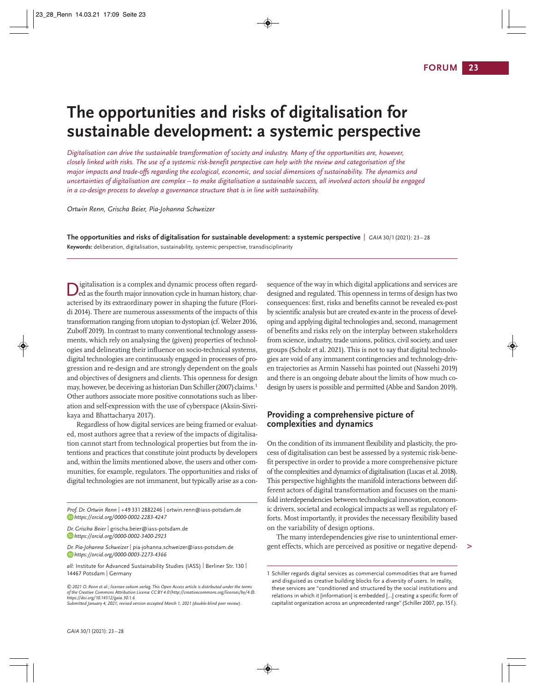# **The opportunities and risks of digitalisation for sustain able development: a systemic perspective**

*Digitalisation can drive the sustainable transformation of society and industry. Many of the opportunities are, however, closely linked with risks. The use of a systemic risk-benefit perspective can help with the review and categorisation of the major impacts and trade-offs regarding the ecological, economic, and social dimensions of sustainability. The dynamics and uncertainties of digitalisation are complex – to make digitalisation a sustainable success, all involved actors should be engaged in a co-design process to develop a governance structure that is in line with sustainability.*

*Ortwin Renn, Grischa Beier, Pia-Johanna Schweizer*

**The opportunities and risks of digitalisation for sustainable development: a systemic perspective** | *GAIA* 30/1(2021): 23 – 28 **Keywords:** deliberation, digitalisation, sustainability, systemic perspective, transdisciplinarity

igitalisation is a complex and dynamic process often regarded as the fourth major innovation cycle in human history, char-Digitalisation is a complex and dynamic process often regarded as the fourth major innovation cycle in human history, characterised by its extraordinary power in shaping the future (Floridi 2014). There are numerous assessments of the impacts of this transformation ranging from utopian to dystopian (cf. Welzer 2016, Zuboff 2019). In contrast to many conventional technology assessments, which rely on analysing the (given) properties of technologies and delineating their influence on socio-technical systems, digital technologies are continuously engaged in processes of progression and re-design and are strongly dependent on the goals and objectives of designers and clients. This openness for design may, however, be deceiving as historian Dan Schiller (2007) claims.<sup>1</sup> Other authors associate more positive connotations such as liber ation and self-expression with the use of cyberspace (Aksin-Sivrikaya and Bhattacharya 2017).

Regardless of how digital services are being framed or evaluated, most authors agree that a review of the impacts of digitalisation cannot start from technological properties but from the intentions and practices that constitute joint products by developers and, within the limits mentioned above, the users and other communities, for example, regulators. The opportunities and risks of digital technologies are not immanent, but typically arise as a con-

*Prof. Dr. Ortwin Renn* | +49 331 2882246 | ortwin.renn@iass-potsdam.de *https://orcid.org/0000-0002-2283-4247*

*Dr. Grischa Beier* | grischa.beier@iass-potsdam.de *https://orcid.org/0000-0002-3400-2923*

*Dr. Pia-Johanna Schweizer* | pia-johanna.schweizer@iass-potsdam.de *https://orcid.org/0000-0003-2273-4366*

*all:* Institute for Advanced Sustainability Studies (IASS) | Berliner Str. 130 | 14467 Potsdam | Germany

*©2021 O. Renn et al.; licensee oekom verlag.This Open Access article is distributed under the terms of the Creative Commons Attribution License CC BY 4.0 (http://creativecommons.org/licenses/by/4.0). https://doi.org/10.14512/gaia.30.1.6*

*Submitted January 4, 2021; revised version accepted March 1, 2021 (double-blind peer review).*

sequence of the way in which digital applications and services are designed and regulated. This openness in terms of design has two consequences: first, risks and benefits cannot be revealed ex-post by scientific analysis but are created ex-ante in the process of devel oping and applying digital technologies and, second, management of benefits and risks rely on the interplay between stakeholders from science, industry, trade unions, politics, civil society, and user groups (Scholz et al. 2021). This is not to say that digital technolo gies are void of any immanent contingencies and technology-driven trajectories as Armin Nassehi has pointed out (Nassehi 2019) and there is an ongoing debate about the limits of how much codesign by users is possible and permitted (Abbe and Sandon 2019).

## **Providing a comprehensive picture of complexities and dynamics**

On the condition of its immanent flexibility and plasticity, the process of digitalisation can best be assessed by a systemic risk-bene fit perspective in order to provide a more comprehensive picture of the complexities and dynamics of digitalisation (Lucas et al. 2018). This perspective highlights the manifold interactions between different actors of digital transformation and focuses on the manifold interdependencies between technological innovation, econom ic drivers, societal and ecological impacts as well as regulatory efforts. Most importantly, it provides the necessary flexibility based on the variability of design options.

The many interdependencies give rise to unintentional emergent effects, which are perceived as positive or negative depend-

**>**

<sup>1</sup> Schiller regards digital services as commercial commodities that are framed and disguised as creative building blocks for a diversity of users. In reality, these services are "conditioned and structured by the social institutions and relations in which it [information] is embedded […] creating a specific form of capitalist organization across an unprecedented range"(Schiller 2007, pp.15f.).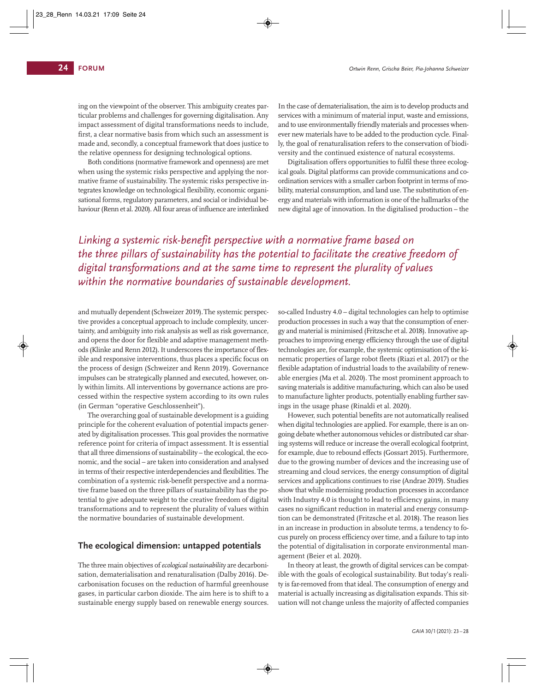ing on the viewpoint of the observer. This ambiguity creates par ticular problems and challenges for governing digitalisation. Any impact assessment of digital transformations needs to include, first, a clear normative basis from which such an assessment is made and, secondly, a conceptual framework that does justice to the relative openness for designing technological options.

Both conditions (normative framework and openness) are met when using the systemic risks perspective and applying the normative frame of sustainability. The systemic risks perspective integrates knowledge on technological flexibility, economic organi sational forms, regulatory parameters, and social or individual behaviour (Renn et al. 2020). All four areas of influence are interlinked

In the case of dematerialisation, the aim is to develop products and services with a minimum of material input, waste and emissions, and to use environmentally friendly materials and processes whenever new materials have to be added to the production cycle. Final ly, the goal of renaturalisation refers to the conservation of biodiversity and the continued existence of natural ecosystems.

Digitalisation offers opportunities to fulfil these three ecological goals. Digital platforms can provide communications and coordination services with a smaller carbon footprint in terms of mobility, material consumption, and land use. The substitution of energy and materials with information is one of the hallmarks of the new digital age of innovation. In the digitalised production – the

*Linking a systemic risk-benefit perspective with a normative frame based on the three pillars of sustainability has the potential to facilitate the creative freedom of digital transformations and at the same time to represent the plurality of values within the normative boundaries of sustainable development.*

and mutually dependent (Schweizer 2019). The systemic perspective provides a conceptual approach to include complexity, uncer tainty, and ambiguity into risk analysis as well as risk governance, and opens the door for flexible and adaptive management methods (Klinke and Renn 2012). It underscores the importance of flexible and responsive interventions, thus places a specific focus on the process of design (Schweizer and Renn 2019). Governance impulses can be strategically planned and executed, however, only within limits. All interventions by governance actions are processed within the respective system according to its own rules (in German "operative Geschlossenheit").

The overarching goal of sustainable development is a guiding principle for the coherent evaluation of potential impacts gener ated by digitalisation processes. This goal provides the normative reference point for criteria of impact assessment. It is essential that all three dimensions of sustainability – the ecological, the economic, and the social – are taken into consideration and analysed in terms of their respective interdependencies and flexibilities. The combination of a systemic risk-benefit perspective and a norma tive frame based on the three pillars of sustainability has the potential to give adequate weight to the creative freedom of digital transformations and to represent the plurality of values within the normative boundaries of sustainable development.

#### **The ecological dimension: untapped potentials**

The three main objectives of *ecological sustainability* are decarboni sation, dematerialisation and renaturalisation (Dalby 2016). Decarbonisation focuses on the reduction of harmful greenhouse gases, in particular carbon dioxide. The aim here is to shift to a sustainable energy supply based on renewable energy sources.

so-called Industry 4.0 – digital technologies can help to optimise production processes in such a way that the consumption of energy and material is minimised (Fritzsche et al. 2018). Innovative approaches to improving energy efficiency through the use of digital technologies are, for example, the systemic optimisation of the ki nematic properties of large robot fleets (Riazi et al. 2017) or the flexible adaptation of industrial loads to the availability of renewable energies (Ma et al. 2020). The most prominent approach to saving materials is additive manufacturing, which can also be used to manufacture lighter products, potentially enabling further savings in the usage phase (Rinaldi et al. 2020).

However, such potential benefits are not automatically realised when digital technologies are applied. For example, there is an ongoing debate whether autonomous vehicles or distributed car shar ing systems will reduce or increase the overall ecological footprint, for example, due to rebound effects (Gossart 2015). Furthermore, due to the growing number of devices and the increasing use of streaming and cloud services, the energy consumption of digital services and applications continues to rise (Andrae 2019). Studies show that while modernising production processes in accordance with Industry 4.0 is thought to lead to efficiency gains, in many cases no significant reduction in material and energy consumption can be demonstrated (Fritzsche et al. 2018). The reason lies in an increase in production in absolute terms, a tendency to focus purely on process efficiency over time, and a failure to tap into the potential of digitalisation in corporate environmental manage ment (Beier et al. 2020).

In theory at least, the growth of digital services can be compatible with the goals of ecological sustainability. But today's reality is far-removed from that ideal. The consumption of energy and material is actually increasing as digitalisation expands. This sit uation will not change unless the majority of affected companies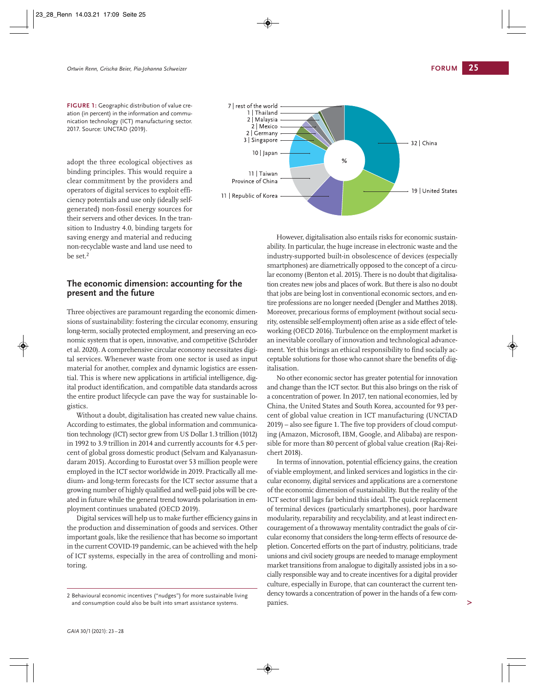**FIGURE 1:** Geographic distribution of value creation (in percent) in the information and communication technology (ICT) manufacturing sector. 2017. Source: UNCTAD (2019).

adopt the three ecological objectives as binding principles. This would require a clear commitment by the providers and operators of digital services to exploit efficiency potentials and use only (ideally selfgenerated) non-fossil energy sources for their servers and other devices. In the transition to Industry 4.0, binding targets for saving energy and material and reducing non-recyclable waste and land use need to be set.<sup>2</sup>

### **The economic dimension: accounting for the present and the future**

Three objectives are paramount regarding the economic dimensions of sustainability: fostering the circular economy, ensuring long-term, socially protected employment, and preserving an economic system that is open, innovative, and competitive (Schröder et al. 2020). A comprehensive circular economy necessitates digital services. Whenever waste from one sector is used as input material for another, complex and dynamic logistics are essential. This is where new applications in artificial intelligence, digital product identification, and compatible data standards across the entire product lifecycle can pave the way for sustainable logistics.

Without a doubt, digitalisation has created new value chains. According to estimates, the global information and communica tion technology (ICT) sector grew from US Dollar 1.3 trillion (1012) in 1992 to 3.9 trillion in 2014 and currently accounts for 4.5 percent of global gross domestic product (Selvam and Kalyanasundaram 2015). According to Eurostat over 53 million people were employed in the ICT sector worldwide in 2019. Practically all me dium- and long-term forecasts for the ICT sector assume that a growing number of highly qualified and well-paid jobs will be created in future while the general trend towards polarisation in employment continues unabated (OECD 2019).

Digital services will help us to make further efficiency gains in the production and dissemination of goods and services. Other important goals, like the resilience that has become so important in the current COVID-19 pandemic, can be achieved with the help of ICT systems, especially in the area of controlling and monitoring.



However, digitalisation also entails risks for economic sustain ability. In particular, the huge increase in electronic waste and the industry-supported built-in obsolescence of devices (especially smartphones) are diametrically opposed to the concept of a circular economy (Benton et al. 2015). There is no doubt that digitalisa tion creates new jobs and places of work. But there is also no doubt that jobs are being lost in conventional economic sectors, and entire professions are no longer needed (Dengler and Matthes 2018). Moreover, precarious forms of employment (without social security, ostensible self-employment) often arise as a side effect of tele working (OECD 2016). Turbulence on the employment market is an inevitable corollary of innovation and technological advancement. Yet this brings an ethical responsibility to find socially acceptable solutions for those who cannot share the benefits of digitalisation.

No other economic sector has greater potential for innovation and change than the ICT sector. But this also brings on the risk of a concentration of power. In 2017, ten national economies, led by China, the United States and South Korea, accounted for 93 percent of global value creation in ICT manufacturing (UNCTAD  $2019$ ) – also see figure 1. The five top providers of cloud computing (Amazon, Microsoft, IBM, Google, and Alibaba) are responsible for more than 80 percent of global value creation (Raj-Rei chert 2018).

In terms of innovation, potential efficiency gains, the creation of viable employment, and linked services and logistics in the cir cular economy, digital services and applications are a cornerstone of the economic dimension of sustainability. But the reality of the ICT sector still lags far behind this ideal. The quick replacement of terminal devices (particularly smartphones), poor hardware modularity, reparability and recyclability, and at least indirect encouragement of a throwaway mentality contradict the goals of cir cular economy that considers the long-term effects of resource de pletion. Concerted efforts on the part of industry, politicians, trade unions and civil society groups are needed to manage employment market transitions from analogue to digitally assisted jobs in a socially responsible way and to create incentives for a digital provider culture, especially in Europe, that can counteract the current tendency towards a concentration of power in the hands of a few companies.

<sup>2</sup> Behavioural economic incentives ("nudges") for more sustainable living and consumption could also be built into smart assistance systems.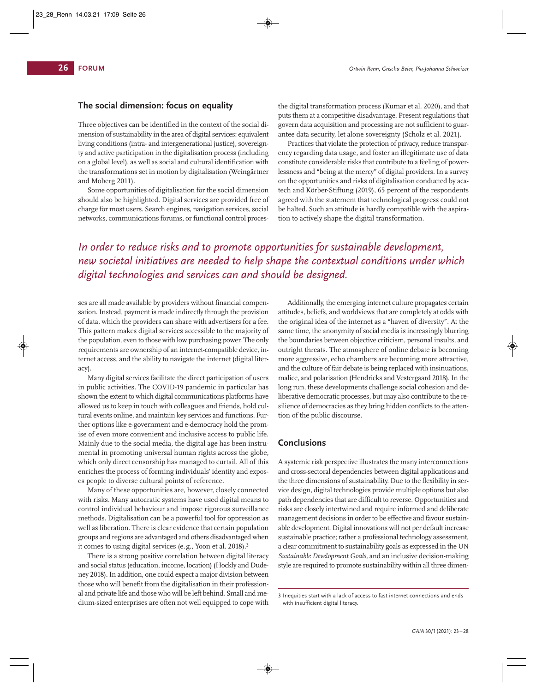# **The social dimension: focus on equality**

Three objectives can be identified in the context of the social dimension of sustainability in the area of digital services: equivalent living conditions (intra- and intergenerational justice), sovereignty and active participation in the digitalisation process (including on a global level), as well as social and cultural identification with the transformations set in motion by digitalisation (Weingärtner and Moberg 2011).

Some opportunities of digitalisation for the social dimension should also be highlighted. Digital services are provided free of charge for most users. Search engines, navigation services, social networks, communications forums, or functional control proces -

the digital transformation process (Kumar et al. 2020), and that puts them at a competitive disadvantage. Present regulations that govern data acquisition and processing are not sufficient to guarantee data security, let alone sovereignty (Scholz et al. 2021).

Practices that violate the protection of privacy, reduce transparency regarding data usage, and foster an illegitimate use of data constitute considerable risks that contribute to a feeling of power lessness and "being at the mercy" of digital providers. In a survey on the opportunities and risks of digitalisation conducted by acatech and Körber-Stiftung (2019), 65 percent of the respondents agreed with the statement that technological progress could not be halted. Such an attitude is hardly compatible with the aspiration to actively shape the digital transformation.

# *In order to reduce risks and to promote opportunities for sustainable development, new societal initiatives are needed to help shape the contextual conditions under which digital technologies and services can and should be designed.*

ses are all made available by providers without financial compensation. Instead, payment is made indirectly through the provision of data, which the providers can share with advertisers for a fee. This pattern makes digital services accessible to the majority of the population, even to those with low purchasing power. The only requirements are ownership of an internet-compatible device, internet access, and the ability to navigate the internet (digital literacy).

Many digital services facilitate the direct participation of users in public activities. The COVID-19 pandemic in particular has shown the extent to which digital communications platforms have allowed us to keep in touch with colleagues and friends, hold cultural events online, and maintain key services and functions. Further options like e-government and e-democracy hold the promise of even more convenient and inclusive access to public life. Mainly due to the social media, the digital age has been instrumental in promoting universal human rights across the globe, which only direct censorship has managed to curtail. All of this enriches the process of forming individuals' identity and exposes people to diverse cultural points of reference.

Many of these opportunities are, however, closely connected with risks. Many autocratic systems have used digital means to control individual behaviour and impose rigorous surveillance methods. Digitalisation can be a powerful tool for oppression as well as liberation. There is clear evidence that certain population groups and regions are advantaged and others disadvantaged when it comes to using digital services (e.g., Yoon et al. 2018).<sup>3</sup>

There is a strong positive correlation between digital literacy and social status (education, income, location) (Hockly and Dudeney 2018). In addition, one could expect a major division between those who will benefit from the digitalisation in their professional and private life and those who will be left behind. Small and me dium-sized enterprises are often not well equipped to cope with

Additionally, the emerging internet culture propagates certain attitudes, beliefs, and worldviews that are completely at odds with the original idea of the internet as a "haven of diversity". At the same time, the anonymity of social media is increasingly blurring the boundaries between objective criticism, personal insults, and outright threats. The atmosphere of online debate is becoming more aggressive, echo chambers are becoming more attractive, and the culture of fair debate is being replaced with insinuations, malice, and polarisation (Hendricks and Vestergaard 2018). In the long run, these developments challenge social cohesion and deliberative democratic processes, but may also contribute to the resilience of democracies as they bring hidden conflicts to the attention of the public discourse.

#### **Conclusions**

A systemic risk perspective illustrates the many interconnections and cross-sectoral dependencies between digital applications and the three dimensions of sustainability. Due to the flexibility in ser vice design, digital technologies provide multiple options but also path dependencies that are difficult to reverse. Opportunities and risks are closely intertwined and require informed and deliberate management decisions in order to be effective and favour sustain able development. Digital innovations will not per default increase sustainable practice; rather a professional technology assessment, a clear commitment to sustainability goals as expressed in the UN *Sustainable Development Goals,* and an inclusive decision-making style are required to promote sustainability within all three dimen-

<sup>3</sup> Inequities start with a lack of access to fast internet connections and ends with insufficient digital literacy.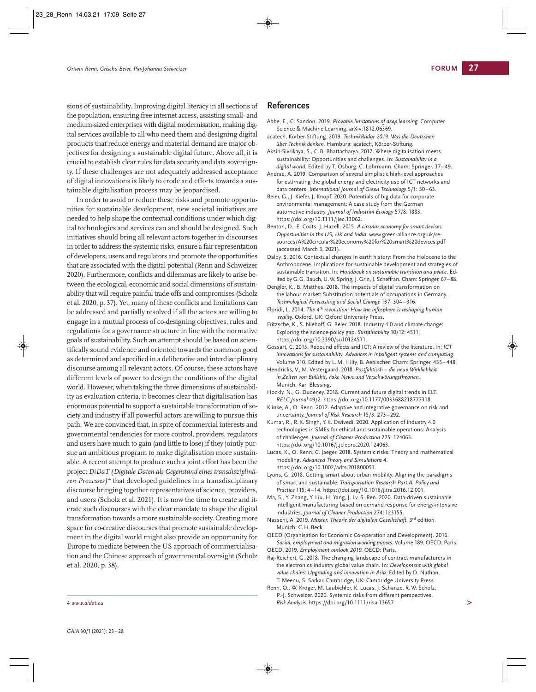sions of sustainability. Improving digital literacy in all sections of the population, ensuring free internet access, assisting small- and medium-sized enterprises with digital modernisation, making digital services available to all who need them and designing digital products that reduce energy and material demand are major objectives for designing a sustainable digital future. Above all, it is crucial to establish clear rules for data security and data sovereign ty. If these challenges are not adequately addressed acceptance of digital innovations is likely to erode and efforts towards a sustainable digitalisation process may be jeopardised.

In order to avoid or reduce these risks and promote opportunities for sustainable development, new societal initiatives are needed to help shape the contextual conditions under which digital technologies and services can and should be designed. Such initiatives should bring all relevant actors together in discourses in order to address the systemic risks, ensure a fair representation of developers, users and regulators and promote the opportunities that are associated with the digital potential (Renn and Schweizer 2020). Furthermore, conflicts and dilemmas are likely to arise between the ecological, economic and social dimensions of sustain ability that will require painful trade-offs and compromises (Scholz et al. 2020, p. 37). Yet, many of these conflicts and limitations can be addressed and partially resolved if all the actors are willing to engage in a mutual process of co-designing objectives, rules and regulations for a governance structure in line with the normative goals of sustainability. Such an attempt should be based on scientifically sound evidence and oriented towards the common good as determined and specified in a deliberative and interdisciplinary discourse among all relevant actors. Of course, these actors have different levels of power to design the conditions of the digital world. However, when taking the three dimensions of sustainability as evaluation criteria, it becomes clear that digitalisation has enormous potential to support a sustainable transformation of society and industry if all powerful actors are willing to pursue this path. We are convinced that, in spite of commercial interests and governmental tendencies for more control, providers, regulators and users have much to gain (and little to lose) if they jointly pursue an ambitious program to make digitalisation more sustainable. A recent attempt to produce such a joint effort has been the project *DiDaT (Digitale Daten als Gegenstand eines transdisziplinä ren Prozesses)* <sup>4</sup> that developed guidelines in a transdisciplinary discourse bringing together representatives of science, providers, and users (Scholz et al. 2021). It is now the time to create and iterate such discourses with the clear mandate to shape the digital transformation towards a more sustainable society. Creating more space for co-creative discourses that promote sustainable development in the digital world might also provide an opportunity for Europe to mediate between the US approach of commercialisation and the Chinese approach of governmental oversight (Scholz et al. 2020, p. 38).

# **References**

- Abbe, E., C. Sandon. 2019. *Provable limitations of deep learning.* Computer Science & Machine Learning. arXiv:1812.06369.
- acatech, Körber-Stiftung. 2019. *TechnikRadar 2019. Was die Deutschen über Technik denken.* Hamburg: acatech, Körber-Stiftung.
- Aksin-Sivrikaya, S., C. B. Bhattacharya. 2017. Where digitalisation meets sustainability: Opportunities and challenges. In: *Sustainability in a digital world.* Edited by T. Osburg, C. Lohrmann. Cham: Springer. 37– 49.
- Andrae, A. 2019. Comparison of several simplistic high-level approaches for estimating the global energy and electricity use of ICT networks and data centers. *International Journal of Green Technology* 5/1: 50–63.
- Beier, G., J. Kiefer, J. Knopf. 2020. Potentials of big data for corporate environmental management: A case study from the German automotive industry. *Journal of Industrial Ecology* 57/8: 1883. https://doi.org/10.1111/jiec.13062.
- Benton, D., E. Coats, J. Hazell. 2015. *A circular economy for smart devices: Opportunities in the US, UK and India.* www.green-alliance.org.uk/resources/A%20circular%20economy%20for%20smart%20devices.pdf (accessed March 3, 2021).
- Dalby, S. 2016. Contextual changes in earth history: From the Holocene to the Anthropocene. Implications for sustainable development and strategies of sustainable transition. In: *Handbook on sustainable transition and peace.* Edited by G.G. Bauch, U.W. Spring, J. Grin, J. Scheffran. Cham: Springer. 67–88.
- Dengler, K., B. Matthes. 2018. The impacts of digital transformation on the labour market: Substitution potentials of occupations in Germany. *Technological Forecasting and Social Change* 137: 304 –316.
- Floridi, L. 2014. *The 4th revolution: How the infosphere is reshaping human reality.* Oxford, UK: Oxford University Press.
- Fritzsche, K., S. Niehoff, G. Beier. 2018. Industry 4.0 and climate change: Exploring the science-policy gap. *Sustainability* 10/12: 4511. https://doi.org/10.3390/su10124511.
- Gossart, C. 2015. Rebound effects and ICT: A review of the literature. In: *ICT innovations for sustainability. Advances in intelligent systems and computing.* Volume 310. Edited by L. M. Hilty, B. Aebischer. Cham: Springer. 435– 448.

Hendricks, V., M. Vestergaard. 2018. *Postfaktisch – die neue Wirklichkeit in Zeiten von Bullshit, Fake News und Verschwörungstheorien.*  Munich: Karl Blessing.

- Hockly, N., G. Dudeney. 2018. Current and future digital trends in ELT. *RELC Journal* 49/2. https://doi.org/10.1177/0033688218777318.
- Klinke, A., O. Renn. 2012. Adaptive and integrative governance on risk and uncertainty. *Journal of Risk Research* 15/3: 273–292.
- Kumar, R., R. K. Singh, Y. K. Dwivedi. 2020. Application of industry 4.0 technologies in SMEs for ethical and sustainable operations: Analysis of challenges. *Journal of Cleaner Production* 275: 124063. https://doi.org/10.1016/j.jclepro.2020.124063.
- Lucas, K., O. Renn, C. Jaeger. 2018. Systemic risks: Theory and mathematical modeling. *Advanced Theory and Simulations* 4. https://doi.org/10.1002/adts.201800051.
- Lyons, G. 2018. Getting smart about urban mobility: Aligning the paradigms of smart and sustainable. *Transportation Research Part A: Policy and Practice* 115: 4 –14. https://doi.org/10.1016/j.tra.2016.12.001.
- Ma, S., Y. Zhang, Y. Liu, H. Yang, J. Lv, S. Ren. 2020. Data-driven sustainable intelligent manufacturing based on demand response for energy-intensive industries. *Journal of Cleaner Production* 274: 123155.
- Nassehi, A. 2019. *Muster. Theorie der digitalen Gesellschaft.* 3rd edition. Munich: C. H. Beck.

OECD (Organisation for Economic Co-operation and Development). 2016. *Social, employment and migration working papers.* Volume 189. OECD: Paris. OECD. 2019. *Employment outlook 2019.* OECD: Paris.

Raj-Reichert, G. 2018. The changing landscape of contract manufacturers in the electronics industry global value chain. In: *Development with global value chains: Upgrading and innovation in Asia.* Edited by D. Nathan, T. Meenu, S. Sarkar. Cambridge, UK: Cambridge University Press.

Renn, O., W. Kröger, M. Laubichler, K. Lucas, J. Schanze, R. W. Scholz, P.-J. Schweizer. 2020. Systemic risks from different perspectives. <sup>4</sup> *www.didat.eu Risk Analysis.* https://doi.org/10.1111/risa.13657. **>**